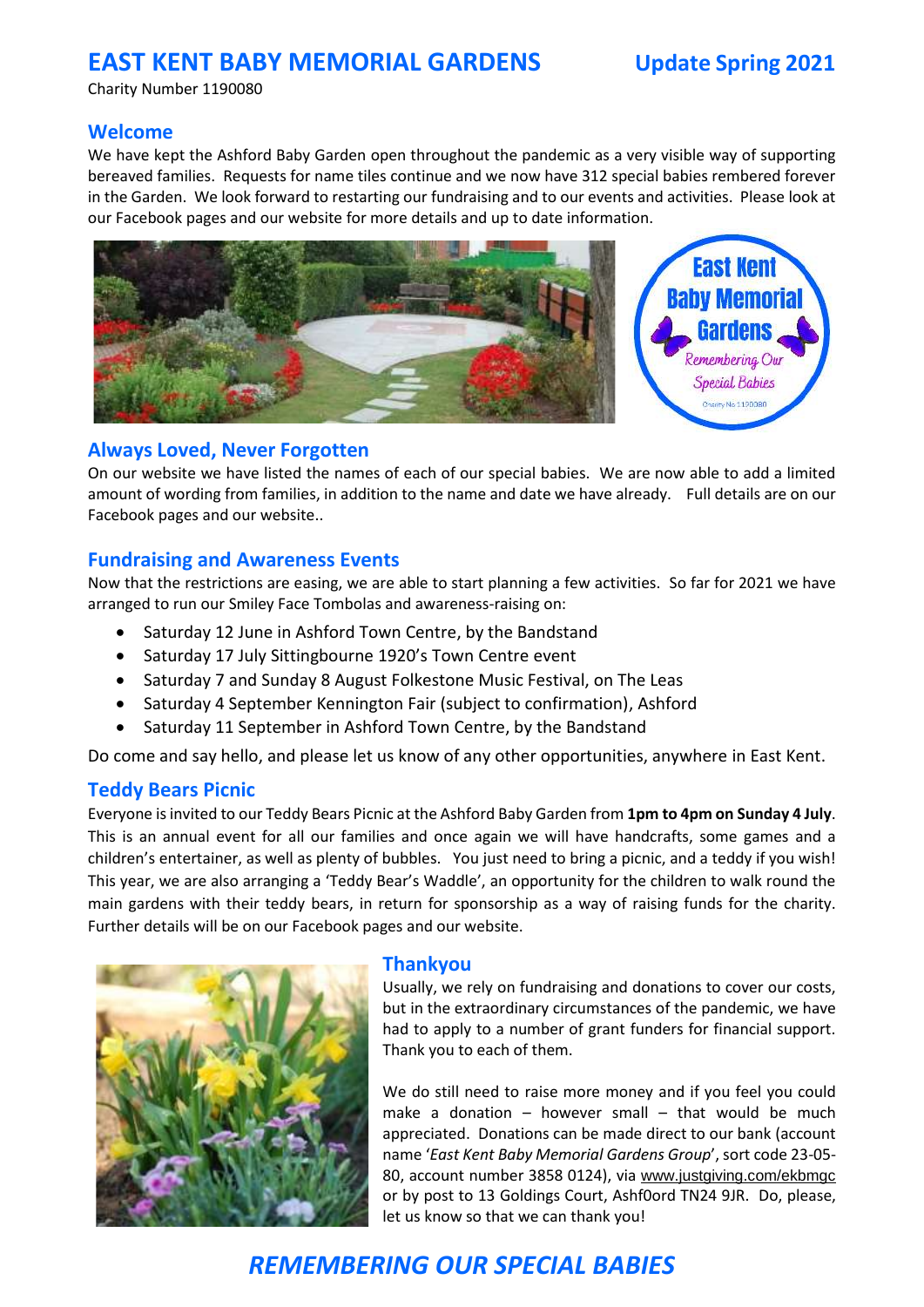## **EAST KENT BABY MEMORIAL GARDENS Update Spring 2021**

Charity Number 1190080

## **Welcome**

We have kept the Ashford Baby Garden open throughout the pandemic as a very visible way of supporting bereaved families. Requests for name tiles continue and we now have 312 special babies rembered forever in the Garden. We look forward to restarting our fundraising and to our events and activities. Please look at our Facebook pages and our website for more details and up to date information.



### **Always Loved, Never Forgotten**

On our website we have listed the names of each of our special babies. We are now able to add a limited amount of wording from families, in addition to the name and date we have already. Full details are on our Facebook pages and our website..

### **Fundraising and Awareness Events**

Now that the restrictions are easing, we are able to start planning a few activities. So far for 2021 we have arranged to run our Smiley Face Tombolas and awareness-raising on:

- Saturday 12 June in Ashford Town Centre, by the Bandstand
- Saturday 17 July Sittingbourne 1920's Town Centre event
- Saturday 7 and Sunday 8 August Folkestone Music Festival, on The Leas
- Saturday 4 September Kennington Fair (subject to confirmation), Ashford
- Saturday 11 September in Ashford Town Centre, by the Bandstand

Do come and say hello, and please let us know of any other opportunities, anywhere in East Kent.

#### **Teddy Bears Picnic**

Everyone is invited to our Teddy Bears Picnic at the Ashford Baby Garden from **1pm to 4pm on Sunday 4 July**. This is an annual event for all our families and once again we will have handcrafts, some games and a children's entertainer, as well as plenty of bubbles. You just need to bring a picnic, and a teddy if you wish! This year, we are also arranging a 'Teddy Bear's Waddle', an opportunity for the children to walk round the main gardens with their teddy bears, in return for sponsorship as a way of raising funds for the charity. Further details will be on our Facebook pages and our website.



#### **Thankyou**

Usually, we rely on fundraising and donations to cover our costs, but in the extraordinary circumstances of the pandemic, we have had to apply to a number of grant funders for financial support. Thank you to each of them.

We do still need to raise more money and if you feel you could make a donation  $-$  however small  $-$  that would be much appreciated. Donations can be made direct to our bank (account name '*East Kent Baby Memorial Gardens Group*', sort code 23-05- 80, account number 3858 0124), via [www.justgiving.com/ekbmgc](http://www.justgiving.com/ekbmgc) or by post to 13 Goldings Court, Ashf0ord TN24 9JR. Do, please, let us know so that we can thank you!

# *REMEMBERING OUR SPECIAL BABIES*